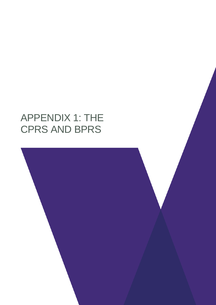# APPENDIX 1: THE CPRS AND BPRS

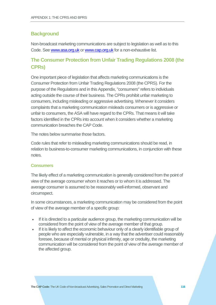## **Background**

Non-broadcast marketing communications are subject to legislation as well as to this Code. See [www.asa.org.uk](http://www.asa.org.uk/) or [www.cap.org.uk](http://www.cap.org.uk/) for a non-exhaustive list.

# **The Consumer Protection from Unfair Trading Regulations 2008 (the CPRs)**

One important piece of legislation that affects marketing communications is the Consumer Protection from Unfair Trading Regulations 2008 (the CPRS). For the purpose of the Regulations and in this Appendix, "consumers" refers to individuals acting outside the course of their business. The CPRs prohibit unfair marketing to consumers, including misleading or aggressive advertising. Whenever it considers complaints that a marketing communication misleads consumers or is aggressive or unfair to consumers, the ASA will have regard to the CPRs. That means it will take factors identified in the CPRs into account when it considers whether a marketing communication breaches the CAP Code.

The notes below summarise those factors.

Code rules that refer to misleading marketing communications should be read, in relation to business-to-consumer marketing communications, in conjunction with these notes.

#### **Consumers**

The likely effect of a marketing communication is generally considered from the point of view of the average consumer whom it reaches or to whom it is addressed. The average consumer is assumed to be reasonably well-informed, observant and circumspect.

In some circumstances, a marketing communication may be considered from the point of view of the average member of a specific group:

- If it is directed to a particular audience group, the marketing communication will be considered from the point of view of the average member of that group.
- If it is likely to affect the economic behaviour only of a clearly identifiable group of people who are especially vulnerable, in a way that the advertiser could reasonably foresee, because of mental or physical infirmity, age or credulity, the marketing communication will be considered from the point of view of the average member of the affected group.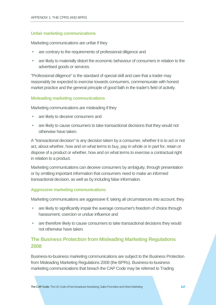### **Unfair marketing communications**

Marketing communications are unfair if they

- are contrary to the requirements of professional diligence and
- are likely to materially distort the economic behaviour of consumers in relation to the advertised goods or services.

"Professional diligence" is the standard of special skill and care that a trader may reasonably be expected to exercise towards consumers, commensurate with honest market practice and the general principle of good faith in the trader's field of activity.

#### **Misleading marketing communications**

Marketing communications are misleading if they

- are likely to deceive consumers and
- are likely to cause consumers to take transactional decisions that they would not otherwise have taken.

A "transactional decision" is any decision taken by a consumer, whether it is to act or not act, about whether, how and on what terms to buy, pay in whole or in part for, retain or dispose of a product or whether, how and on what terms to exercise a contractual right in relation to a product.

Marketing communications can deceive consumers by ambiguity, through presentation or by omitting important information that consumers need to make an informed transactional decision, as well as by including false information.

#### **Aggressive marketing communications**

Marketing communications are aggressive if, taking all circumstances into account, they

- are likely to significantly impair the average consumer's freedom of choice through harassment, coercion or undue influence and
- are therefore likely to cause consumers to take transactional decisions they would not otherwise have taken.

## **The Business Protection from Misleading Marketing Regulations 2008**

Business-to-business marketing communications are subject to the Business Protection from Misleading Marketing Regulations 2008 (the BPRs). Business-to-business marketing communications that breach the CAP Code may be referred to Trading